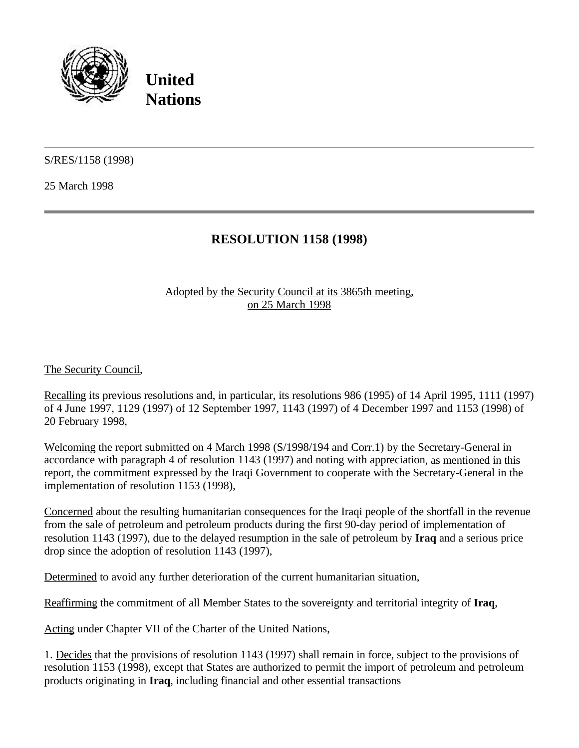

**United Nations**

S/RES/1158 (1998)

25 March 1998

## **RESOLUTION 1158 (1998)**

## Adopted by the Security Council at its 3865th meeting, on 25 March 1998

The Security Council,

Recalling its previous resolutions and, in particular, its resolutions 986 (1995) of 14 April 1995, 1111 (1997) of 4 June 1997, 1129 (1997) of 12 September 1997, 1143 (1997) of 4 December 1997 and 1153 (1998) of 20 February 1998,

Welcoming the report submitted on 4 March 1998 (S/1998/194 and Corr.1) by the Secretary-General in accordance with paragraph 4 of resolution 1143 (1997) and noting with appreciation, as mentioned in this report, the commitment expressed by the Iraqi Government to cooperate with the Secretary-General in the implementation of resolution 1153 (1998),

Concerned about the resulting humanitarian consequences for the Iraqi people of the shortfall in the revenue from the sale of petroleum and petroleum products during the first 90-day period of implementation of resolution 1143 (1997), due to the delayed resumption in the sale of petroleum by **Iraq** and a serious price drop since the adoption of resolution 1143 (1997),

Determined to avoid any further deterioration of the current humanitarian situation,

Reaffirming the commitment of all Member States to the sovereignty and territorial integrity of **Iraq**,

Acting under Chapter VII of the Charter of the United Nations,

1. Decides that the provisions of resolution 1143 (1997) shall remain in force, subject to the provisions of resolution 1153 (1998), except that States are authorized to permit the import of petroleum and petroleum products originating in **Iraq**, including financial and other essential transactions